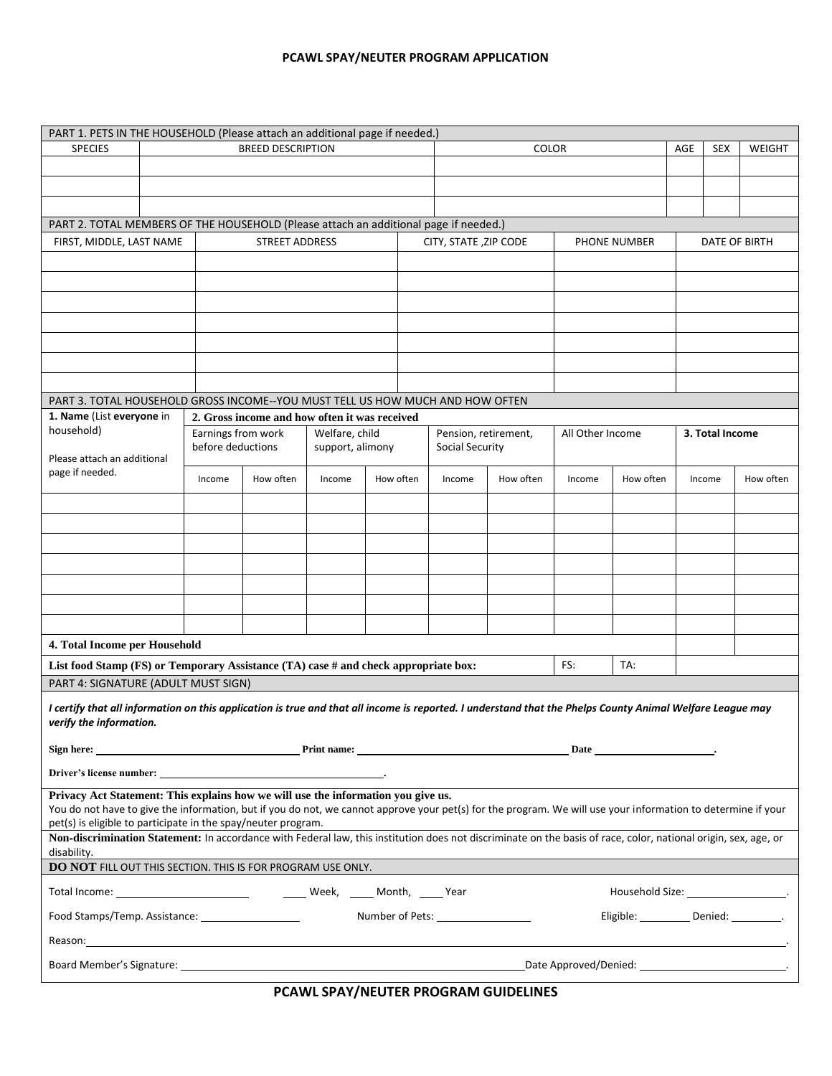## **PCAWL SPAY/NEUTER PROGRAM APPLICATION**

| PART 1. PETS IN THE HOUSEHOLD (Please attach an additional page if needed.)<br><b>BREED DESCRIPTION</b>                                                                                                                          |                                                                                     |        |                                       |                     |  |                                        |                      |           |                  |           |  |                 |           |  |  |
|----------------------------------------------------------------------------------------------------------------------------------------------------------------------------------------------------------------------------------|-------------------------------------------------------------------------------------|--------|---------------------------------------|---------------------|--|----------------------------------------|----------------------|-----------|------------------|-----------|--|-----------------|-----------|--|--|
| <b>SPECIES</b>                                                                                                                                                                                                                   |                                                                                     |        |                                       | <b>COLOR</b>        |  |                                        |                      | AGE       | <b>SEX</b>       | WEIGHT    |  |                 |           |  |  |
|                                                                                                                                                                                                                                  |                                                                                     |        |                                       |                     |  |                                        |                      |           |                  |           |  |                 |           |  |  |
|                                                                                                                                                                                                                                  |                                                                                     |        |                                       |                     |  |                                        |                      |           |                  |           |  |                 |           |  |  |
|                                                                                                                                                                                                                                  |                                                                                     |        |                                       |                     |  |                                        |                      |           |                  |           |  |                 |           |  |  |
| PART 2. TOTAL MEMBERS OF THE HOUSEHOLD (Please attach an additional page if needed.)                                                                                                                                             |                                                                                     |        |                                       |                     |  |                                        |                      |           |                  |           |  |                 |           |  |  |
| <b>STREET ADDRESS</b><br>FIRST, MIDDLE, LAST NAME<br>CITY, STATE, ZIP CODE<br><b>PHONE NUMBER</b><br>DATE OF BIRTH                                                                                                               |                                                                                     |        |                                       |                     |  |                                        |                      |           |                  |           |  |                 |           |  |  |
|                                                                                                                                                                                                                                  |                                                                                     |        |                                       |                     |  |                                        |                      |           |                  |           |  |                 |           |  |  |
|                                                                                                                                                                                                                                  |                                                                                     |        |                                       |                     |  |                                        |                      |           |                  |           |  |                 |           |  |  |
|                                                                                                                                                                                                                                  |                                                                                     |        |                                       |                     |  |                                        |                      |           |                  |           |  |                 |           |  |  |
|                                                                                                                                                                                                                                  |                                                                                     |        |                                       |                     |  |                                        |                      |           |                  |           |  |                 |           |  |  |
|                                                                                                                                                                                                                                  |                                                                                     |        |                                       |                     |  |                                        |                      |           |                  |           |  |                 |           |  |  |
|                                                                                                                                                                                                                                  |                                                                                     |        |                                       |                     |  |                                        |                      |           |                  |           |  |                 |           |  |  |
|                                                                                                                                                                                                                                  |                                                                                     |        |                                       |                     |  |                                        |                      |           |                  |           |  |                 |           |  |  |
|                                                                                                                                                                                                                                  |                                                                                     |        |                                       |                     |  |                                        |                      |           |                  |           |  |                 |           |  |  |
|                                                                                                                                                                                                                                  |                                                                                     |        |                                       |                     |  |                                        |                      |           |                  |           |  |                 |           |  |  |
| PART 3. TOTAL HOUSEHOLD GROSS INCOME--YOU MUST TELL US HOW MUCH AND HOW OFTEN<br>1. Name (List everyone in<br>2. Gross income and how often it was received                                                                      |                                                                                     |        |                                       |                     |  |                                        |                      |           |                  |           |  |                 |           |  |  |
| household)                                                                                                                                                                                                                       |                                                                                     |        | Earnings from work<br>Welfare, child  |                     |  |                                        | Pension, retirement, |           | All Other Income |           |  | 3. Total Income |           |  |  |
|                                                                                                                                                                                                                                  |                                                                                     |        | before deductions<br>support, alimony |                     |  | Social Security                        |                      |           |                  |           |  |                 |           |  |  |
| Please attach an additional<br>page if needed.                                                                                                                                                                                   |                                                                                     |        |                                       |                     |  |                                        |                      |           |                  |           |  |                 |           |  |  |
|                                                                                                                                                                                                                                  |                                                                                     | Income | How often                             | How often<br>Income |  |                                        | Income               | How often | Income           | How often |  | Income          | How often |  |  |
|                                                                                                                                                                                                                                  |                                                                                     |        |                                       |                     |  |                                        |                      |           |                  |           |  |                 |           |  |  |
|                                                                                                                                                                                                                                  |                                                                                     |        |                                       |                     |  |                                        |                      |           |                  |           |  |                 |           |  |  |
|                                                                                                                                                                                                                                  |                                                                                     |        |                                       |                     |  |                                        |                      |           |                  |           |  |                 |           |  |  |
|                                                                                                                                                                                                                                  |                                                                                     |        |                                       |                     |  |                                        |                      |           |                  |           |  |                 |           |  |  |
|                                                                                                                                                                                                                                  |                                                                                     |        |                                       |                     |  |                                        |                      |           |                  |           |  |                 |           |  |  |
|                                                                                                                                                                                                                                  |                                                                                     |        |                                       |                     |  |                                        |                      |           |                  |           |  |                 |           |  |  |
|                                                                                                                                                                                                                                  |                                                                                     |        |                                       |                     |  |                                        |                      |           |                  |           |  |                 |           |  |  |
|                                                                                                                                                                                                                                  |                                                                                     |        |                                       |                     |  |                                        |                      |           |                  |           |  |                 |           |  |  |
|                                                                                                                                                                                                                                  |                                                                                     |        |                                       |                     |  |                                        |                      |           |                  |           |  |                 |           |  |  |
| 4. Total Income per Household                                                                                                                                                                                                    |                                                                                     |        |                                       |                     |  |                                        |                      |           |                  |           |  |                 |           |  |  |
|                                                                                                                                                                                                                                  | List food Stamp (FS) or Temporary Assistance (TA) case # and check appropriate box: |        |                                       |                     |  | TA:<br>FS:                             |                      |           |                  |           |  |                 |           |  |  |
| PART 4: SIGNATURE (ADULT MUST SIGN)                                                                                                                                                                                              |                                                                                     |        |                                       |                     |  |                                        |                      |           |                  |           |  |                 |           |  |  |
| I certify that all information on this application is true and that all income is reported. I understand that the Phelps County Animal Welfare League may                                                                        |                                                                                     |        |                                       |                     |  |                                        |                      |           |                  |           |  |                 |           |  |  |
| verify the information.                                                                                                                                                                                                          |                                                                                     |        |                                       |                     |  |                                        |                      |           |                  |           |  |                 |           |  |  |
| <u>Print name:</u>                                                                                                                                                                                                               |                                                                                     |        |                                       |                     |  |                                        |                      |           |                  |           |  |                 |           |  |  |
| Sign here:                                                                                                                                                                                                                       |                                                                                     |        |                                       |                     |  |                                        |                      |           |                  |           |  |                 |           |  |  |
|                                                                                                                                                                                                                                  |                                                                                     |        |                                       |                     |  |                                        |                      |           |                  |           |  |                 |           |  |  |
| Privacy Act Statement: This explains how we will use the information you give us.                                                                                                                                                |                                                                                     |        |                                       |                     |  |                                        |                      |           |                  |           |  |                 |           |  |  |
| You do not have to give the information, but if you do not, we cannot approve your pet(s) for the program. We will use your information to determine if your                                                                     |                                                                                     |        |                                       |                     |  |                                        |                      |           |                  |           |  |                 |           |  |  |
| pet(s) is eligible to participate in the spay/neuter program.<br>Non-discrimination Statement: In accordance with Federal law, this institution does not discriminate on the basis of race, color, national origin, sex, age, or |                                                                                     |        |                                       |                     |  |                                        |                      |           |                  |           |  |                 |           |  |  |
| disability.                                                                                                                                                                                                                      |                                                                                     |        |                                       |                     |  |                                        |                      |           |                  |           |  |                 |           |  |  |
| DO NOT FILL OUT THIS SECTION. THIS IS FOR PROGRAM USE ONLY.                                                                                                                                                                      |                                                                                     |        |                                       |                     |  |                                        |                      |           |                  |           |  |                 |           |  |  |
|                                                                                                                                                                                                                                  |                                                                                     |        |                                       |                     |  |                                        |                      |           |                  |           |  |                 |           |  |  |
|                                                                                                                                                                                                                                  |                                                                                     |        |                                       |                     |  | Household Size: _____________________. |                      |           |                  |           |  |                 |           |  |  |
| Eligible: _________ Denied: ________.                                                                                                                                                                                            |                                                                                     |        |                                       |                     |  |                                        |                      |           |                  |           |  |                 |           |  |  |
| Reason: the contract of the contract of the contract of the contract of the contract of the contract of the contract of the contract of the contract of the contract of the contract of the contract of the contract of the co   |                                                                                     |        |                                       |                     |  |                                        |                      |           |                  |           |  |                 |           |  |  |
|                                                                                                                                                                                                                                  |                                                                                     |        |                                       |                     |  |                                        |                      |           |                  |           |  |                 |           |  |  |
|                                                                                                                                                                                                                                  |                                                                                     |        |                                       |                     |  |                                        |                      |           |                  |           |  |                 |           |  |  |